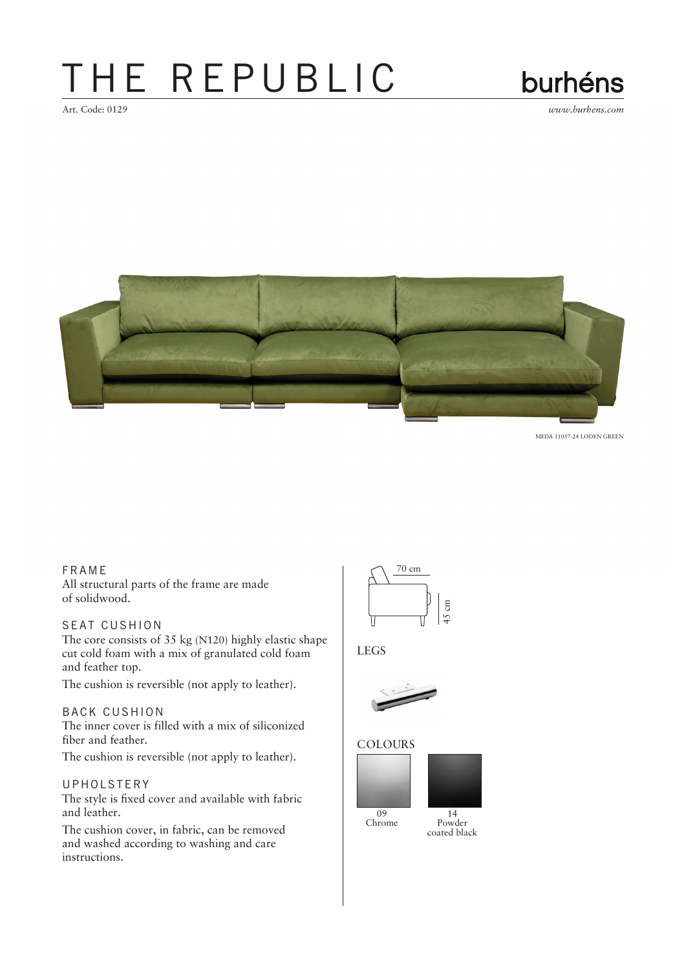## THE REPUBLIC

Art. Code: 0129 *www.burhens.com*



MEDA 11057-24 LODEN GREEN

## FRA ME

All structural parts of the frame are made of solidwood.

## SEAT CUSHION

The core consists of 35 kg (N120) highly elastic shape cut cold foam with a mix of granulated cold foam and feather top.

The cushion is reversible (not apply to leather).

### BACK CUSHION

The inner cover is filled with a mix of siliconized fiber and feather.

The cushion is reversible (not apply to leather).

#### UPHOLSTERY

The style is fixed cover and available with fabric and leather.

The cushion cover, in fabric, can be removed and washed according to washing and care instructions.



## LEGS



#### **COLOURS**





Powder coated black